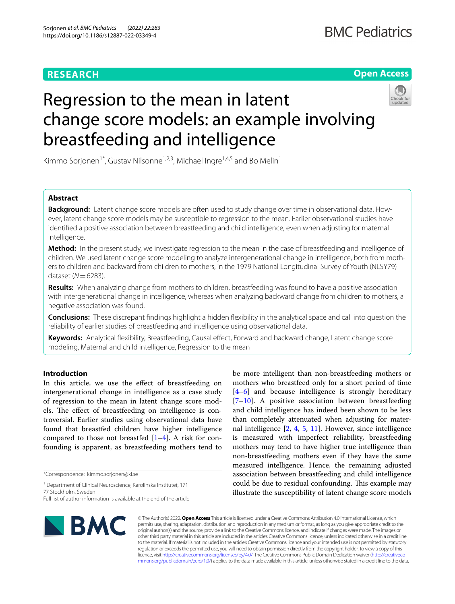# **RESEARCH**

## **Open Access**



# Regression to the mean in latent change score models: an example involving breastfeeding and intelligence

Kimmo Sorjonen<sup>1\*</sup>, Gustav Nilsonne<sup>1,2,3</sup>, Michael Ingre<sup>1,4,5</sup> and Bo Melin<sup>1</sup>

## **Abstract**

**Background:** Latent change score models are often used to study change over time in observational data. However, latent change score models may be susceptible to regression to the mean. Earlier observational studies have identifed a positive association between breastfeeding and child intelligence, even when adjusting for maternal intelligence.

**Method:** In the present study, we investigate regression to the mean in the case of breastfeeding and intelligence of children. We used latent change score modeling to analyze intergenerational change in intelligence, both from mothers to children and backward from children to mothers, in the 1979 National Longitudinal Survey of Youth (NLSY79) dataset (*N*=6283).

**Results:** When analyzing change from mothers to children, breastfeeding was found to have a positive association with intergenerational change in intelligence, whereas when analyzing backward change from children to mothers, a negative association was found.

**Conclusions:** These discrepant fndings highlight a hidden fexibility in the analytical space and call into question the reliability of earlier studies of breastfeeding and intelligence using observational data.

**Keywords:** Analytical fexibility, Breastfeeding, Causal efect, Forward and backward change, Latent change score modeling, Maternal and child intelligence, Regression to the mean

## **Introduction**

In this article, we use the efect of breastfeeding on intergenerational change in intelligence as a case study of regression to the mean in latent change score models. The effect of breastfeeding on intelligence is controversial. Earlier studies using observational data have found that breastfed children have higher intelligence compared to those not breastfed  $[1-4]$  $[1-4]$ . A risk for confounding is apparent, as breastfeeding mothers tend to

\*Correspondence: kimmo.sorjonen@ki.se

<sup>1</sup> Department of Clinical Neuroscience, Karolinska Institutet, 171 77 Stockholm, Sweden

be more intelligent than non-breastfeeding mothers or mothers who breastfeed only for a short period of time [[4–](#page-7-1)[6\]](#page-7-2) and because intelligence is strongly hereditary [[7–](#page-7-3)[10\]](#page-7-4). A positive association between breastfeeding and child intelligence has indeed been shown to be less than completely attenuated when adjusting for maternal intelligence [\[2](#page-7-5), [4](#page-7-1), [5,](#page-7-6) [11](#page-7-7)]. However, since intelligence is measured with imperfect reliability, breastfeeding mothers may tend to have higher true intelligence than non-breastfeeding mothers even if they have the same measured intelligence. Hence, the remaining adjusted association between breastfeeding and child intelligence could be due to residual confounding. This example may illustrate the susceptibility of latent change score models



© The Author(s) 2022. **Open Access** This article is licensed under a Creative Commons Attribution 4.0 International License, which permits use, sharing, adaptation, distribution and reproduction in any medium or format, as long as you give appropriate credit to the original author(s) and the source, provide a link to the Creative Commons licence, and indicate if changes were made. The images or other third party material in this article are included in the article's Creative Commons licence, unless indicated otherwise in a credit line to the material. If material is not included in the article's Creative Commons licence and your intended use is not permitted by statutory regulation or exceeds the permitted use, you will need to obtain permission directly from the copyright holder. To view a copy of this licence, visit [http://creativecommons.org/licenses/by/4.0/.](http://creativecommons.org/licenses/by/4.0/) The Creative Commons Public Domain Dedication waiver ([http://creativeco](http://creativecommons.org/publicdomain/zero/1.0/) [mmons.org/publicdomain/zero/1.0/](http://creativecommons.org/publicdomain/zero/1.0/)) applies to the data made available in this article, unless otherwise stated in a credit line to the data.

Full list of author information is available at the end of the article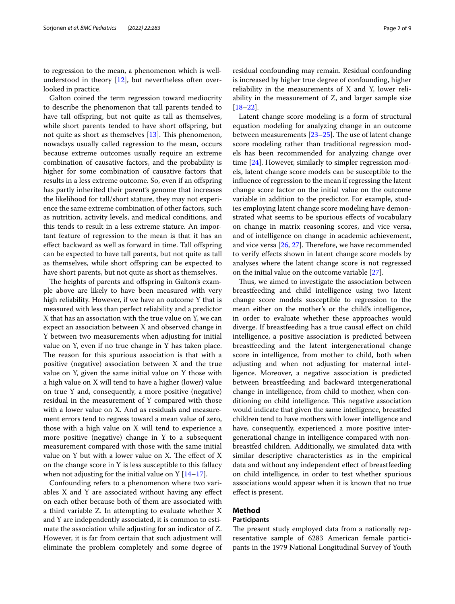to regression to the mean, a phenomenon which is wellunderstood in theory [\[12](#page-7-8)], but nevertheless often overlooked in practice.

Galton coined the term regression toward mediocrity to describe the phenomenon that tall parents tended to have tall offspring, but not quite as tall as themselves, while short parents tended to have short offspring, but not quite as short as themselves  $[13]$  $[13]$ . This phenomenon, nowadays usually called regression to the mean, occurs because extreme outcomes usually require an extreme combination of causative factors, and the probability is higher for some combination of causative factors that results in a less extreme outcome. So, even if an ofspring has partly inherited their parent's genome that increases the likelihood for tall/short stature, they may not experience the same extreme combination of other factors, such as nutrition, activity levels, and medical conditions, and this tends to result in a less extreme stature. An important feature of regression to the mean is that it has an effect backward as well as forward in time. Tall offspring can be expected to have tall parents, but not quite as tall as themselves, while short ofspring can be expected to have short parents, but not quite as short as themselves.

The heights of parents and offspring in Galton's example above are likely to have been measured with very high reliability. However, if we have an outcome Y that is measured with less than perfect reliability and a predictor X that has an association with the true value on Y, we can expect an association between X and observed change in Y between two measurements when adjusting for initial value on Y, even if no true change in Y has taken place. The reason for this spurious association is that with a positive (negative) association between X and the true value on Y, given the same initial value on Y those with a high value on X will tend to have a higher (lower) value on true Y and, consequently, a more positive (negative) residual in the measurement of Y compared with those with a lower value on X. And as residuals and measurement errors tend to regress toward a mean value of zero, those with a high value on X will tend to experience a more positive (negative) change in Y to a subsequent measurement compared with those with the same initial value on  $Y$  but with a lower value on  $X$ . The effect of  $X$ on the change score in Y is less susceptible to this fallacy when not adjusting for the initial value on  $Y$  [[14–](#page-7-10)[17](#page-7-11)].

Confounding refers to a phenomenon where two variables X and Y are associated without having any efect on each other because both of them are associated with a third variable Z. In attempting to evaluate whether X and Y are independently associated, it is common to estimate the association while adjusting for an indicator of Z. However, it is far from certain that such adjustment will eliminate the problem completely and some degree of residual confounding may remain. Residual confounding is increased by higher true degree of confounding, higher reliability in the measurements of X and Y, lower reliability in the measurement of Z, and larger sample size [[18–](#page-7-12)[22\]](#page-7-13).

Latent change score modeling is a form of structural equation modeling for analyzing change in an outcome between measurements  $[23-25]$  $[23-25]$  $[23-25]$ . The use of latent change score modeling rather than traditional regression models has been recommended for analyzing change over time [\[24](#page-7-15)]. However, similarly to simpler regression models, latent change score models can be susceptible to the infuence of regression to the mean if regressing the latent change score factor on the initial value on the outcome variable in addition to the predictor. For example, studies employing latent change score modeling have demonstrated what seems to be spurious efects of vocabulary on change in matrix reasoning scores, and vice versa, and of intelligence on change in academic achievement, and vice versa  $[26, 27]$  $[26, 27]$  $[26, 27]$  $[26, 27]$ . Therefore, we have recommended to verify efects shown in latent change score models by analyses where the latent change score is not regressed on the initial value on the outcome variable [[27\]](#page-8-2).

Thus, we aimed to investigate the association between breastfeeding and child intelligence using two latent change score models susceptible to regression to the mean either on the mother's or the child's intelligence, in order to evaluate whether these approaches would diverge. If breastfeeding has a true causal efect on child intelligence, a positive association is predicted between breastfeeding and the latent intergenerational change score in intelligence, from mother to child, both when adjusting and when not adjusting for maternal intelligence. Moreover, a negative association is predicted between breastfeeding and backward intergenerational change in intelligence, from child to mother, when conditioning on child intelligence. This negative association would indicate that given the same intelligence, breastfed children tend to have mothers with lower intelligence and have, consequently, experienced a more positive intergenerational change in intelligence compared with nonbreastfed children. Additionally, we simulated data with similar descriptive characteristics as in the empirical data and without any independent efect of breastfeeding on child intelligence, in order to test whether spurious associations would appear when it is known that no true efect is present.

## **Method**

## **Participants**

The present study employed data from a nationally representative sample of 6283 American female participants in the 1979 National Longitudinal Survey of Youth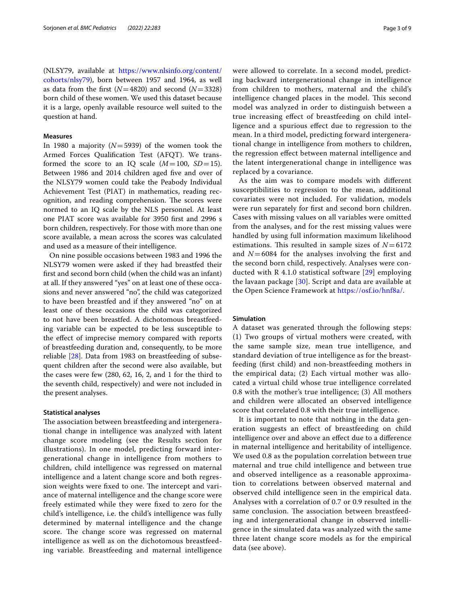(NLSY79, available at [https://www.nlsinfo.org/content/](https://www.nlsinfo.org/content/cohorts/nlsy79) [cohorts/nlsy79\)](https://www.nlsinfo.org/content/cohorts/nlsy79), born between 1957 and 1964, as well as data from the frst (*N*=4820) and second (*N*=3328) born child of these women. We used this dataset because it is a large, openly available resource well suited to the question at hand.

## **Measures**

In 1980 a majority (*N*=5939) of the women took the Armed Forces Qualifcation Test (AFQT). We transformed the score to an IQ scale  $(M=100, SD=15)$ . Between 1986 and 2014 children aged five and over of the NLSY79 women could take the Peabody Individual Achievement Test (PIAT) in mathematics, reading recognition, and reading comprehension. The scores were normed to an IQ scale by the NLS personnel. At least one PIAT score was available for 3950 frst and 2996 s born children, respectively. For those with more than one score available, a mean across the scores was calculated and used as a measure of their intelligence.

On nine possible occasions between 1983 and 1996 the NLSY79 women were asked if they had breastfed their frst and second born child (when the child was an infant) at all. If they answered "yes" on at least one of these occasions and never answered "no", the child was categorized to have been breastfed and if they answered "no" on at least one of these occasions the child was categorized to not have been breastfed. A dichotomous breastfeeding variable can be expected to be less susceptible to the efect of imprecise memory compared with reports of breastfeeding duration and, consequently, to be more reliable [\[28\]](#page-8-3). Data from 1983 on breastfeeding of subsequent children after the second were also available, but the cases were few (280, 62, 16, 2, and 1 for the third to the seventh child, respectively) and were not included in the present analyses.

## **Statistical analyses**

The association between breastfeeding and intergenerational change in intelligence was analyzed with latent change score modeling (see the Results section for illustrations). In one model, predicting forward intergenerational change in intelligence from mothers to children, child intelligence was regressed on maternal intelligence and a latent change score and both regression weights were fixed to one. The intercept and variance of maternal intelligence and the change score were freely estimated while they were fxed to zero for the child's intelligence, i.e. the child's intelligence was fully determined by maternal intelligence and the change score. The change score was regressed on maternal intelligence as well as on the dichotomous breastfeeding variable. Breastfeeding and maternal intelligence were allowed to correlate. In a second model, predicting backward intergenerational change in intelligence from children to mothers, maternal and the child's intelligence changed places in the model. This second model was analyzed in order to distinguish between a true increasing efect of breastfeeding on child intelligence and a spurious efect due to regression to the mean. In a third model, predicting forward intergenerational change in intelligence from mothers to children, the regression efect between maternal intelligence and the latent intergenerational change in intelligence was replaced by a covariance.

As the aim was to compare models with diferent susceptibilities to regression to the mean, additional covariates were not included. For validation, models were run separately for frst and second born children. Cases with missing values on all variables were omitted from the analyses, and for the rest missing values were handled by using full information maximum likelihood estimations. This resulted in sample sizes of  $N=6172$ and  $N=6084$  for the analyses involving the first and the second born child, respectively. Analyses were conducted with R 4.1.0 statistical software [[29\]](#page-8-4) employing the lavaan package  $[30]$  $[30]$ . Script and data are available at the Open Science Framework at <https://osf.io/hnf8a/>.

## **Simulation**

A dataset was generated through the following steps: (1) Two groups of virtual mothers were created, with the same sample size, mean true intelligence, and standard deviation of true intelligence as for the breastfeeding (frst child) and non-breastfeeding mothers in the empirical data; (2) Each virtual mother was allocated a virtual child whose true intelligence correlated 0.8 with the mother's true intelligence; (3) All mothers and children were allocated an observed intelligence score that correlated 0.8 with their true intelligence.

It is important to note that nothing in the data generation suggests an efect of breastfeeding on child intelligence over and above an efect due to a diference in maternal intelligence and heritability of intelligence. We used 0.8 as the population correlation between true maternal and true child intelligence and between true and observed intelligence as a reasonable approximation to correlations between observed maternal and observed child intelligence seen in the empirical data. Analyses with a correlation of 0.7 or 0.9 resulted in the same conclusion. The association between breastfeeding and intergenerational change in observed intelligence in the simulated data was analyzed with the same three latent change score models as for the empirical data (see above).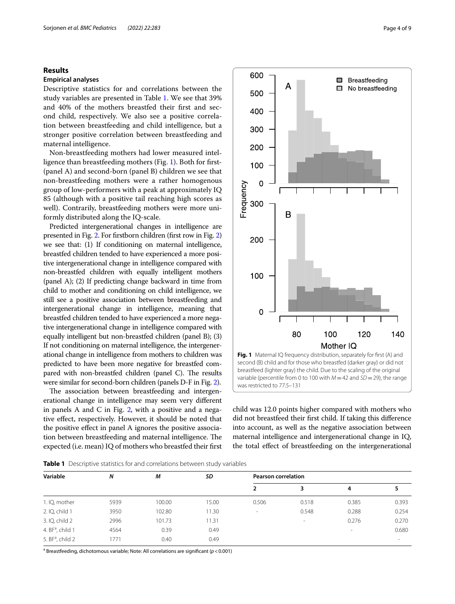## **Results**

## **Empirical analyses**

Descriptive statistics for and correlations between the study variables are presented in Table [1](#page-3-0). We see that 39% and 40% of the mothers breastfed their frst and second child, respectively. We also see a positive correlation between breastfeeding and child intelligence, but a stronger positive correlation between breastfeeding and maternal intelligence.

Non-breastfeeding mothers had lower measured intelligence than breastfeeding mothers (Fig. [1](#page-3-1)). Both for frst- (panel A) and second-born (panel B) children we see that non-breastfeeding mothers were a rather homogenous group of low-performers with a peak at approximately IQ 85 (although with a positive tail reaching high scores as well). Contrarily, breastfeeding mothers were more uniformly distributed along the IQ-scale.

Predicted intergenerational changes in intelligence are presented in Fig. [2](#page-4-0). For frstborn children (frst row in Fig. [2](#page-4-0)) we see that: (1) If conditioning on maternal intelligence, breastfed children tended to have experienced a more positive intergenerational change in intelligence compared with non-breastfed children with equally intelligent mothers (panel A); (2) If predicting change backward in time from child to mother and conditioning on child intelligence, we still see a positive association between breastfeeding and intergenerational change in intelligence, meaning that breastfed children tended to have experienced a more negative intergenerational change in intelligence compared with equally intelligent but non-breastfed children (panel B); (3) If not conditioning on maternal intelligence, the intergenerational change in intelligence from mothers to children was predicted to have been more negative for breastfed compared with non-breastfed children (panel C). The results were similar for second-born children (panels D-F in Fig. [2](#page-4-0)).

The association between breastfeeding and intergenerational change in intelligence may seem very diferent in panels A and C in Fig. [2](#page-4-0), with a positive and a negative efect, respectively. However, it should be noted that the positive efect in panel A ignores the positive association between breastfeeding and maternal intelligence. The expected (i.e. mean) IQ of mothers who breastfed their frst



<span id="page-3-1"></span>child was 12.0 points higher compared with mothers who did not breastfeed their frst child. If taking this diference into account, as well as the negative association between maternal intelligence and intergenerational change in IQ, the total efect of breastfeeding on the intergenerational

<span id="page-3-0"></span>**Table 1** Descriptive statistics for and correlations between study variables

| Variable                     | Ν    | М      | SD    | <b>Pearson correlation</b> |        |        |        |
|------------------------------|------|--------|-------|----------------------------|--------|--------|--------|
|                              |      |        |       |                            | 3      | 4      |        |
| 1. IQ, mother                | 5939 | 100.00 | 15.00 | 0.506                      | 0.518  | 0.385  | 0.393  |
| 2. IQ, child 1               | 3950 | 102.80 | 11.30 | $\overline{\phantom{a}}$   | 0.548  | 0.288  | 0.254  |
| 3. IQ, child 2               | 2996 | 101.73 | 11.31 |                            | $\sim$ | 0.276  | 0.270  |
| 4. BF <sup>a</sup> , child 1 | 4564 | 0.39   | 0.49  |                            |        | $\sim$ | 0.680  |
| 5. $BFa$ , child 2           | 1771 | 0.40   | 0.49  |                            |        |        | $\sim$ |
|                              |      |        |       |                            |        |        |        |

a Breastfeeding, dichotomous variable; Note: All correlations are signifcant (*p*<0.001)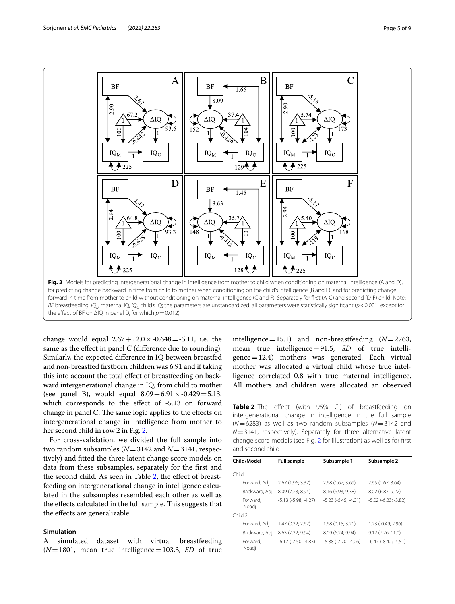

<span id="page-4-0"></span>change would equal  $2.67 + 12.0 \times -0.648 = -5.11$ , i.e. the same as the effect in panel C (difference due to rounding). Similarly, the expected diference in IQ between breastfed and non-breastfed frstborn children was 6.91 and if taking this into account the total efect of breastfeeding on backward intergenerational change in IQ, from child to mother (see panel B), would equal  $8.09 + 6.91 \times -0.429 = 5.13$ , which corresponds to the effect of -5.13 on forward change in panel C. The same logic applies to the effects on intergenerational change in intelligence from mother to her second child in row 2 in Fig. [2.](#page-4-0)

For cross-validation, we divided the full sample into two random subsamples (*N*=3142 and *N*=3141, respectively) and ftted the three latent change score models on data from these subsamples, separately for the frst and the second child. As seen in Table [2](#page-4-1), the efect of breastfeeding on intergenerational change in intelligence calculated in the subsamples resembled each other as well as the effects calculated in the full sample. This suggests that the efects are generalizable.

## **Simulation**

A simulated dataset with virtual breastfeeding  $(N=1801$ , mean true intelligence = 103.3, *SD* of true intelligence=15.1) and non-breastfeeding (*N*=2763, mean true intelligence=91.5, *SD* of true intelligence=12.4) mothers was generated. Each virtual mother was allocated a virtual child whose true intelligence correlated 0.8 with true maternal intelligence. All mothers and children were allocated an observed

<span id="page-4-1"></span>**Table 2** The effect (with 95% CI) of breastfeeding on intergenerational change in intelligence in the full sample (*N*=6283) as well as two random subsamples (*N*=3142 and *N*=3141, respectively). Separately for three alternative latent change score models (see Fig. [2](#page-4-0) for illustration) as well as for frst and second child

| Child/Model       | <b>Full sample</b>       | Subsample 1              | Subsample 2              |
|-------------------|--------------------------|--------------------------|--------------------------|
| Child 1           |                          |                          |                          |
| Forward, Adj      | 2.67 (1.96; 3.37)        | 2.68(1.67; 3.69)         | 2.65(1.67; 3.64)         |
| Backward, Adj     | 8.09 (7.23; 8.94)        | 8.16 (6.93; 9.38)        | 8.02 (6.83; 9.22)        |
| Forward.<br>Noadj | $-5.13$ $(-5.98; -4.27)$ | $-5.23$ $(-6.45; -4.01)$ | $-5.02$ $(-6.23; -3.82)$ |
| Child 2           |                          |                          |                          |
| Forward, Adj      | 1.47 (0.32; 2.62)        | 1.68 (0.15; 3.21)        | 1.23 (-0.49; 2.96)       |
| Backward, Adj     | 8.63 (7.32; 9.94)        | 8.09 (6.24: 9.94)        | 9.12 (7.26; 11.0)        |
| Forward.<br>Noadj | $-6.17$ $(-7.50; -4.83)$ | $-5.88$ $(-7.70; -4.06)$ | $-6.47$ $(-8.42; -4.51)$ |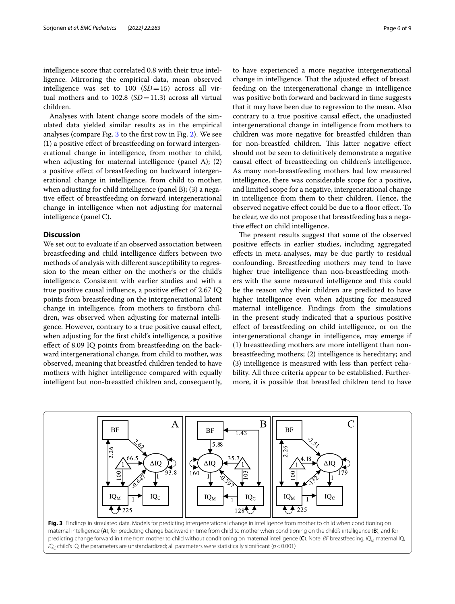intelligence score that correlated 0.8 with their true intelligence. Mirroring the empirical data, mean observed intelligence was set to  $100$   $(SD=15)$  across all virtual mothers and to  $102.8$  ( $SD = 11.3$ ) across all virtual children.

Analyses with latent change score models of the simulated data yielded similar results as in the empirical analyses (compare Fig. [3](#page-5-0) to the frst row in Fig. [2\)](#page-4-0). We see (1) a positive efect of breastfeeding on forward intergenerational change in intelligence, from mother to child, when adjusting for maternal intelligence (panel A); (2) a positive efect of breastfeeding on backward intergenerational change in intelligence, from child to mother, when adjusting for child intelligence (panel B); (3) a negative efect of breastfeeding on forward intergenerational change in intelligence when not adjusting for maternal intelligence (panel C).

## **Discussion**

We set out to evaluate if an observed association between breastfeeding and child intelligence difers between two methods of analysis with diferent susceptibility to regression to the mean either on the mother's or the child's intelligence. Consistent with earlier studies and with a true positive causal infuence, a positive efect of 2.67 IQ points from breastfeeding on the intergenerational latent change in intelligence, from mothers to frstborn children, was observed when adjusting for maternal intelligence. However, contrary to a true positive causal efect, when adjusting for the frst child's intelligence, a positive efect of 8.09 IQ points from breastfeeding on the backward intergenerational change, from child to mother, was observed, meaning that breastfed children tended to have mothers with higher intelligence compared with equally intelligent but non-breastfed children and, consequently, to have experienced a more negative intergenerational change in intelligence. That the adjusted effect of breastfeeding on the intergenerational change in intelligence was positive both forward and backward in time suggests that it may have been due to regression to the mean. Also contrary to a true positive causal efect, the unadjusted intergenerational change in intelligence from mothers to children was more negative for breastfed children than for non-breastfed children. This latter negative effect should not be seen to defnitively demonstrate a negative causal efect of breastfeeding on children's intelligence. As many non-breastfeeding mothers had low measured intelligence, there was considerable scope for a positive, and limited scope for a negative, intergenerational change in intelligence from them to their children. Hence, the observed negative effect could be due to a floor effect. To be clear, we do not propose that breastfeeding has a negative efect on child intelligence.

The present results suggest that some of the observed positive efects in earlier studies, including aggregated efects in meta-analyses, may be due partly to residual confounding. Breastfeeding mothers may tend to have higher true intelligence than non-breastfeeding mothers with the same measured intelligence and this could be the reason why their children are predicted to have higher intelligence even when adjusting for measured maternal intelligence. Findings from the simulations in the present study indicated that a spurious positive efect of breastfeeding on child intelligence, or on the intergenerational change in intelligence, may emerge if (1) breastfeeding mothers are more intelligent than nonbreastfeeding mothers; (2) intelligence is hereditary; and (3) intelligence is measured with less than perfect reliability. All three criteria appear to be established. Furthermore, it is possible that breastfed children tend to have

<span id="page-5-0"></span>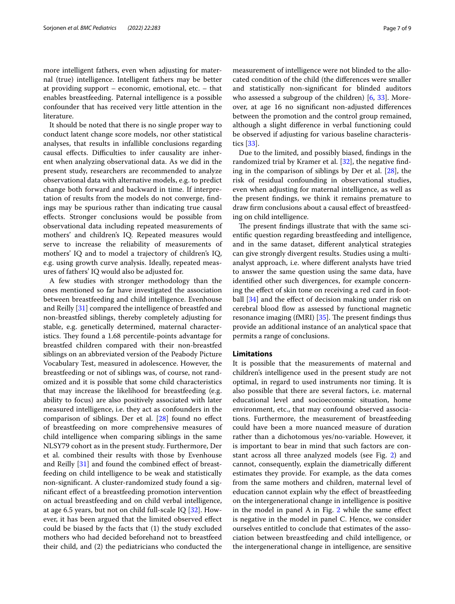more intelligent fathers, even when adjusting for maternal (true) intelligence. Intelligent fathers may be better at providing support – economic, emotional, etc. – that enables breastfeeding. Paternal intelligence is a possible confounder that has received very little attention in the literature.

It should be noted that there is no single proper way to conduct latent change score models, nor other statistical analyses, that results in infallible conclusions regarding causal effects. Difficulties to infer causality are inherent when analyzing observational data. As we did in the present study, researchers are recommended to analyze observational data with alternative models, e.g. to predict change both forward and backward in time. If interpretation of results from the models do not converge, fndings may be spurious rather than indicating true causal efects. Stronger conclusions would be possible from observational data including repeated measurements of mothers' and children's IQ. Repeated measures would serve to increase the reliability of measurements of mothers' IQ and to model a trajectory of children's IQ, e.g. using growth curve analysis. Ideally, repeated measures of fathers' IQ would also be adjusted for.

A few studies with stronger methodology than the ones mentioned so far have investigated the association between breastfeeding and child intelligence. Evenhouse and Reilly [\[31](#page-8-6)] compared the intelligence of breastfed and non-breastfed siblings, thereby completely adjusting for stable, e.g. genetically determined, maternal characteristics. They found a 1.68 percentile-points advantage for breastfed children compared with their non-breastfed siblings on an abbreviated version of the Peabody Picture Vocabulary Test, measured in adolescence. However, the breastfeeding or not of siblings was, of course, not randomized and it is possible that some child characteristics that may increase the likelihood for breastfeeding (e.g. ability to focus) are also positively associated with later measured intelligence, i.e. they act as confounders in the comparison of siblings. Der et al. [[28](#page-8-3)] found no efect of breastfeeding on more comprehensive measures of child intelligence when comparing siblings in the same NLSY79 cohort as in the present study. Furthermore, Der et al. combined their results with those by Evenhouse and Reilly [[31\]](#page-8-6) and found the combined effect of breastfeeding on child intelligence to be weak and statistically non-signifcant. A cluster-randomized study found a signifcant efect of a breastfeeding promotion intervention on actual breastfeeding and on child verbal intelligence, at age 6.5 years, but not on child full-scale IQ [\[32](#page-8-7)]. However, it has been argued that the limited observed efect could be biased by the facts that (1) the study excluded mothers who had decided beforehand not to breastfeed their child, and (2) the pediatricians who conducted the measurement of intelligence were not blinded to the allocated condition of the child (the diferences were smaller and statistically non-signifcant for blinded auditors who assessed a subgroup of the children) [[6,](#page-7-2) [33\]](#page-8-8). Moreover, at age 16 no signifcant non-adjusted diferences between the promotion and the control group remained, although a slight diference in verbal functioning could be observed if adjusting for various baseline characteristics [\[33](#page-8-8)].

Due to the limited, and possibly biased, fndings in the randomized trial by Kramer et al. [\[32](#page-8-7)], the negative fnding in the comparison of siblings by Der et al. [[28\]](#page-8-3), the risk of residual confounding in observational studies, even when adjusting for maternal intelligence, as well as the present fndings, we think it remains premature to draw frm conclusions about a causal efect of breastfeeding on child intelligence.

The present findings illustrate that with the same scientifc question regarding breastfeeding and intelligence, and in the same dataset, diferent analytical strategies can give strongly divergent results. Studies using a multianalyst approach, i.e. where diferent analysts have tried to answer the same question using the same data, have identifed other such divergences, for example concerning the effect of skin tone on receiving a red card in foot-ball [[34\]](#page-8-9) and the effect of decision making under risk on cerebral blood flow as assessed by functional magnetic resonance imaging (fMRI)  $[35]$  $[35]$ . The present findings thus provide an additional instance of an analytical space that permits a range of conclusions.

## **Limitations**

It is possible that the measurements of maternal and children's intelligence used in the present study are not optimal, in regard to used instruments nor timing. It is also possible that there are several factors, i.e. maternal educational level and socioeconomic situation, home environment, etc., that may confound observed associations. Furthermore, the measurement of breastfeeding could have been a more nuanced measure of duration rather than a dichotomous yes/no-variable. However, it is important to bear in mind that such factors are constant across all three analyzed models (see Fig. [2](#page-4-0)) and cannot, consequently, explain the diametrically diferent estimates they provide. For example, as the data comes from the same mothers and children, maternal level of education cannot explain why the efect of breastfeeding on the intergenerational change in intelligence is positive in the model in panel A in Fig.  $2$  while the same effect is negative in the model in panel C. Hence, we consider ourselves entitled to conclude that estimates of the association between breastfeeding and child intelligence, or the intergenerational change in intelligence, are sensitive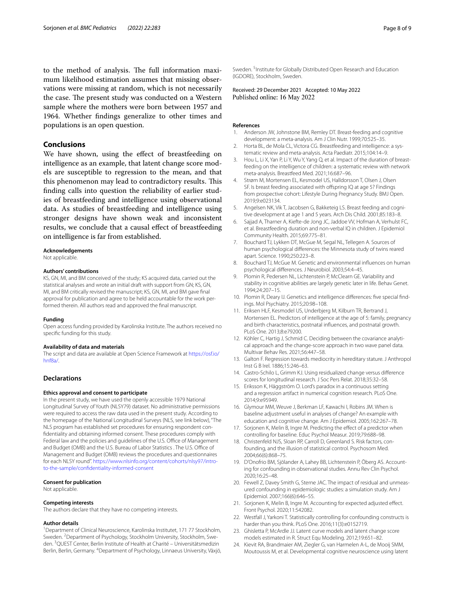to the method of analysis. The full information maximum likelihood estimation assumes that missing observations were missing at random, which is not necessarily the case. The present study was conducted on a Western sample where the mothers were born between 1957 and 1964. Whether fndings generalize to other times and populations is an open question.

## **Conclusions**

We have shown, using the effect of breastfeeding on intelligence as an example, that latent change score models are susceptible to regression to the mean, and that this phenomenon may lead to contradictory results. This fnding calls into question the reliability of earlier studies of breastfeeding and intelligence using observational data. As studies of breastfeeding and intelligence using stronger designs have shown weak and inconsistent results, we conclude that a causal efect of breastfeeding on intelligence is far from established.

#### **Acknowledgements**

Not applicable.

#### **Authors' contributions**

KS, GN, MI, and BM conceived of the study; KS acquired data, carried out the statistical analyses and wrote an initial draft with support from GN; KS, GN, MI, and BM critically revised the manuscript; KS, GN, MI, and BM gave fnal approval for publication and agree to be held accountable for the work performed therein. All authors read and approved the fnal manuscript.

#### **Funding**

Open access funding provided by Karolinska Institute. The authors received no specifc funding for this study.

#### **Availability of data and materials**

The script and data are available at Open Science Framework at [https://osf.io/](https://osf.io/hnf8a/) [hnf8a/](https://osf.io/hnf8a/).

## **Declarations**

### **Ethics approval and consent to participate**

In the present study, we have used the openly accessible 1979 National Longitudinal Survey of Youth (NLSY79) dataset. No administrative permissions were required to access the raw data used in the present study. According to the homepage of the National Longitudinal Surveys (NLS, see link below), "The NLS program has established set procedures for ensuring respondent confdentiality and obtaining informed consent. These procedures comply with Federal law and the policies and guidelines of the U.S. Office of Management and Budget (OMB) and the U.S. Bureau of Labor Statistics . The U.S. Office of Management and Budget (OMB) reviews the procedures and questionnaires for each NLSY round". [https://www.nlsinfo.org/content/cohorts/nlsy97/intro](https://www.nlsinfo.org/content/cohorts/nlsy97/intro-to-the-sample/confidentiality-informed-consent)[to-the-sample/confdentiality-informed-consent](https://www.nlsinfo.org/content/cohorts/nlsy97/intro-to-the-sample/confidentiality-informed-consent)

#### **Consent for publication**

Not applicable.

#### **Competing interests**

The authors declare that they have no competing interests.

#### **Author details**

<sup>1</sup> Department of Clinical Neuroscience, Karolinska Institutet, 171 77 Stockholm, Sweden. <sup>2</sup> Department of Psychology, Stockholm University, Stockholm, Sweden. <sup>3</sup> QUEST Center, Berlin Institute of Health at Charité – Universitätsmedizin Berlin, Berlin, Germany. <sup>4</sup>Department of Psychology, Linnaeus University, Växjö, Sweden.<sup>5</sup> Institute for Globally Distributed Open Research and Education (IGDORE), Stockholm, Sweden.

Received: 29 December 2021 Accepted: 10 May 2022

#### **References**

- <span id="page-7-0"></span>Anderson JW, Johnstone BM, Remley DT. Breast-feeding and cognitive development: a meta-analysis. Am J Clin Nutr. 1999;70:525–35.
- <span id="page-7-5"></span>2. Horta BL, de Mola CL, Victora CG. Breastfeeding and intelligence: a systematic review and meta-analysis. Acta Paediatr. 2015;104:14–9.
- 3. Hou L, Li X, Yan P, Li Y, Wu Y, Yang Q, et al. Impact of the duration of breastfeeding on the intelligence of children: a systematic review with network meta-analysis. Breastfeed Med. 2021;16:687–96.
- <span id="page-7-1"></span>4. Strøm M, Mortensen EL, Kesmodel US, Halldorsson T, Olsen J, Olsen SF. Is breast feeding associated with offspring IQ at age 5? Findings from prospective cohort: Lifestyle During Pregnancy Study. BMJ Open. 2019;9:e023134.
- <span id="page-7-6"></span>5. Angelsen NK, Vik T, Jacobsen G, Bakketeig LS. Breast feeding and cognitive development at age 1 and 5 years. Arch Dis Child. 2001;85:183–8.
- <span id="page-7-2"></span>Sajjad A, Tharner A, Kiefte-de Jong JC, Jaddoe W, Hofman A, Verhulst FC, et al. Breastfeeding duration and non-verbal IQ in children. J Epidemiol Community Health. 2015;69:775–81.
- <span id="page-7-3"></span>7. Bouchard TJ, Lykken DT, McGue M, Segal NL, Tellegen A. Sources of human psychological diferences: the Minnesota study of twins reared apart. Science. 1990;250:223–8.
- 8. Bouchard TJ, McGue M. Genetic and environmental infuences on human psychological diferences. J Neurobiol. 2003;54:4–45.
- 9. Plomin R, Pedersen NL, Lichtenstein P, McClearn GE, Variability and stability in cognitive abilities are largely genetic later in life. Behav Genet. 1994;24:207–15.
- <span id="page-7-4"></span>10. Plomin R, Deary IJ. Genetics and intelligence diferences: fve special fndings. Mol Psychiatry. 2015;20:98–108.
- <span id="page-7-7"></span>11. Eriksen HLF, Kesmodel US, Underbjerg M, Kilburn TR, Bertrand J, Mortensen EL. Predictors of intelligence at the age of 5: family, pregnancy and birth characteristics, postnatal infuences, and postnatal growth. PLoS One. 2013;8:e79200.
- <span id="page-7-8"></span>12. Köhler C, Hartig J, Schmid C. Deciding between the covariance analytical approach and the change-score approach in two wave panel data. Multivar Behav Res. 2021;56:447–58.
- <span id="page-7-9"></span>13. Galton F. Regression towards mediocrity in hereditary stature. J Anthropol Inst G B Irel. 1886;15:246–63.
- <span id="page-7-10"></span>14. Castro-Schilo L, Grimm KJ. Using residualized change versus diference scores for longitudinal research. J Soc Pers Relat. 2018;35:32–58.
- 15. Eriksson K, Häggström O. Lord's paradox in a continuous setting and a regression artifact in numerical cognition research. PLoS One. 2014;9:e95949.
- 16. Glymour MM, Weuve J, Berkman LF, Kawachi I, Robins JM. When is baseline adjustment useful in analyses of change? An example with education and cognitive change. Am J Epidemiol. 2005;162:267–78.
- <span id="page-7-11"></span>17. Sorjonen K, Melin B, Ingre M. Predicting the effect of a predictor when controlling for baseline. Educ Psychol Measur. 2019;79:688–98.
- <span id="page-7-12"></span>18. Christenfeld NJS, Sloan RP, Carroll D, Greenland S. Risk factors, confounding, and the illusion of statistical control. Psychosom Med. 2004;66(6):868–75.
- 19. D'Onofrio BM, Sjölander A, Lahey BB, Lichtenstein P, Öberg AS. Accounting for confounding in observational studies. Annu Rev Clin Psychol. 2020;16:25–48.
- 20. Fewell Z, Davey Smith G, Sterne JAC. The impact of residual and unmeasured confounding in epidemiologic studies: a simulation study. Am J Epidemiol. 2007;166(6):646–55.
- 21. Sorjonen K, Melin B, Ingre M. Accounting for expected adjusted efect. Front Psychol. 2020;11:542082.
- <span id="page-7-13"></span>22. Westfall J, Yarkoni T. Statistically controlling for confounding constructs is harder than you think. PLoS One. 2016;11(3):e0152719.
- <span id="page-7-14"></span>23. Ghisletta P, McArdle JJ. Latent curve models and latent change score models estimated in R. Struct Equ Modeling. 2012;19:651–82.
- <span id="page-7-15"></span>24. Kievit RA, Brandmaier AM, Ziegler G, van Harmelen A-L, de Mooij SMM, Moutoussis M, et al. Developmental cognitive neuroscience using latent